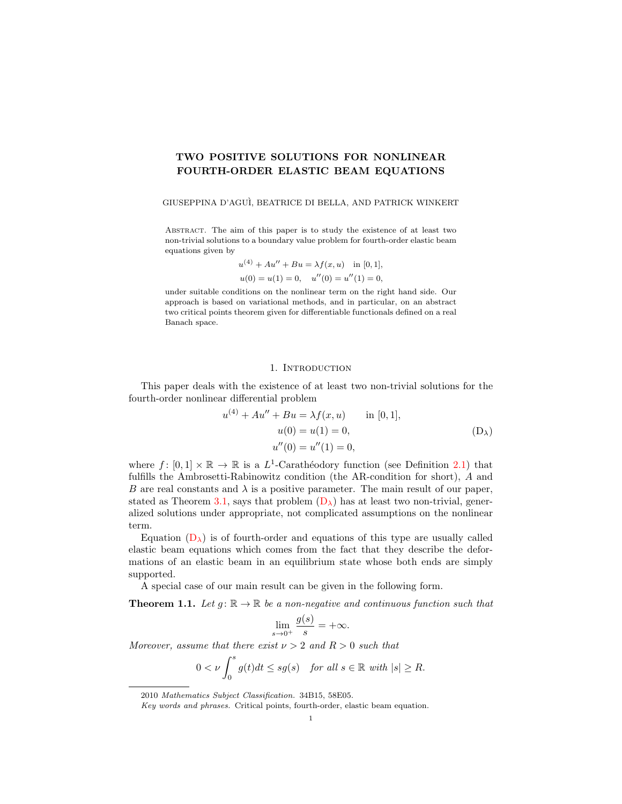# TWO POSITIVE SOLUTIONS FOR NONLINEAR FOURTH-ORDER ELASTIC BEAM EQUATIONS

### GIUSEPPINA D'AGU`I, BEATRICE DI BELLA, AND PATRICK WINKERT

Abstract. The aim of this paper is to study the existence of at least two non-trivial solutions to a boundary value problem for fourth-order elastic beam equations given by

$$
u^{(4)} + Au'' + Bu = \lambda f(x, u) \text{ in } [0, 1],
$$
  

$$
u(0) = u(1) = 0, \quad u''(0) = u''(1) = 0,
$$

under suitable conditions on the nonlinear term on the right hand side. Our approach is based on variational methods, and in particular, on an abstract two critical points theorem given for differentiable functionals defined on a real Banach space.

# <span id="page-0-0"></span>1. INTRODUCTION

This paper deals with the existence of at least two non-trivial solutions for the fourth-order nonlinear differential problem

$$
u^{(4)} + Au'' + Bu = \lambda f(x, u) \quad \text{in } [0, 1],
$$
  
\n
$$
u(0) = u(1) = 0,
$$
  
\n
$$
u''(0) = u''(1) = 0,
$$
  
\n(D<sub>λ</sub>)

where  $f: [0,1] \times \mathbb{R} \to \mathbb{R}$  is a  $L^1$ -Carathéodory function (see Definition [2.1\)](#page-2-0) that fulfills the Ambrosetti-Rabinowitz condition (the AR-condition for short), A and B are real constants and  $\lambda$  is a positive parameter. The main result of our paper, stated as Theorem [3.1,](#page-4-0) says that problem  $(D_{\lambda})$  $(D_{\lambda})$  has at least two non-trivial, generalized solutions under appropriate, not complicated assumptions on the nonlinear term.

Equation  $(D_{\lambda})$  $(D_{\lambda})$  is of fourth-order and equations of this type are usually called elastic beam equations which comes from the fact that they describe the deformations of an elastic beam in an equilibrium state whose both ends are simply supported.

A special case of our main result can be given in the following form.

<span id="page-0-1"></span>**Theorem 1.1.** Let  $g: \mathbb{R} \to \mathbb{R}$  be a non-negative and continuous function such that

$$
\lim_{s \to 0^+} \frac{g(s)}{s} = +\infty.
$$

Moreover, assume that there exist  $\nu > 2$  and  $R > 0$  such that

$$
0 < \nu \int_0^s g(t)dt \le sg(s) \quad \text{for all } s \in \mathbb{R} \text{ with } |s| \ge R.
$$

<sup>2010</sup> Mathematics Subject Classification. 34B15, 58E05.

Key words and phrases. Critical points, fourth-order, elastic beam equation.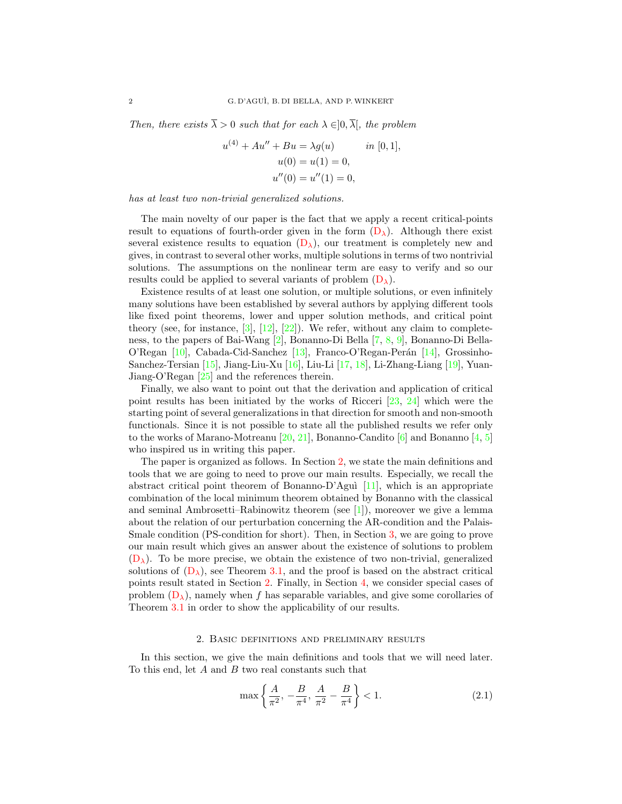Then, there exists  $\overline{\lambda} > 0$  such that for each  $\lambda \in ]0, \overline{\lambda}]$ , the problem

$$
u^{(4)} + Au'' + Bu = \lambda g(u) \qquad in [0, 1],
$$
  

$$
u(0) = u(1) = 0,
$$
  

$$
u''(0) = u''(1) = 0,
$$

has at least two non-trivial generalized solutions.

The main novelty of our paper is the fact that we apply a recent critical-points result to equations of fourth-order given in the form  $(D_{\lambda})$  $(D_{\lambda})$ . Although there exist several existence results to equation  $(D_{\lambda})$  $(D_{\lambda})$ , our treatment is completely new and gives, in contrast to several other works, multiple solutions in terms of two nontrivial solutions. The assumptions on the nonlinear term are easy to verify and so our results could be applied to several variants of problem  $(D_{\lambda})$  $(D_{\lambda})$ .

Existence results of at least one solution, or multiple solutions, or even infinitely many solutions have been established by several authors by applying different tools like fixed point theorems, lower and upper solution methods, and critical point theory (see, for instance,  $[3]$ ,  $[12]$ ,  $[22]$ ). We refer, without any claim to completeness, to the papers of Bai-Wang [\[2\]](#page-8-1), Bonanno-Di Bella [\[7,](#page-8-2) [8,](#page-8-3) [9\]](#page-8-4), Bonanno-Di Bella-O'Regan  $[10]$ , Cabada-Cid-Sanchez  $[13]$ , Franco-O'Regan-Perán  $[14]$ , Grossinho-Sanchez-Tersian [\[15\]](#page-9-4), Jiang-Liu-Xu [\[16\]](#page-9-5), Liu-Li [\[17,](#page-9-6) [18\]](#page-9-7), Li-Zhang-Liang [\[19\]](#page-9-8), Yuan-Jiang-O'Regan [\[25\]](#page-9-9) and the references therein.

Finally, we also want to point out that the derivation and application of critical point results has been initiated by the works of Ricceri [\[23,](#page-9-10) [24\]](#page-9-11) which were the starting point of several generalizations in that direction for smooth and non-smooth functionals. Since it is not possible to state all the published results we refer only to the works of Marano-Motreanu [\[20,](#page-9-12) [21\]](#page-9-13), Bonanno-Candito [\[6\]](#page-8-6) and Bonanno [\[4,](#page-8-7) [5\]](#page-8-8) who inspired us in writing this paper.

The paper is organized as follows. In Section [2,](#page-1-0) we state the main definitions and tools that we are going to need to prove our main results. Especially, we recall the abstract critical point theorem of Bonanno-D'Aguì  $[11]$ , which is an appropriate combination of the local minimum theorem obtained by Bonanno with the classical and seminal Ambrosetti–Rabinowitz theorem (see  $[1]$ ), moreover we give a lemma about the relation of our perturbation concerning the AR-condition and the Palais-Smale condition (PS-condition for short). Then, in Section [3,](#page-4-1) we are going to prove our main result which gives an answer about the existence of solutions to problem  $(D_{\lambda})$  $(D_{\lambda})$ . To be more precise, we obtain the existence of two non-trivial, generalized solutions of  $(D_{\lambda})$  $(D_{\lambda})$ , see Theorem [3.1,](#page-4-0) and the proof is based on the abstract critical points result stated in Section [2.](#page-1-0) Finally, in Section [4,](#page-6-0) we consider special cases of problem  $(D_{\lambda})$  $(D_{\lambda})$ , namely when f has separable variables, and give some corollaries of Theorem [3.1](#page-4-0) in order to show the applicability of our results.

#### 2. Basic definitions and preliminary results

<span id="page-1-0"></span>In this section, we give the main definitions and tools that we will need later. To this end, let A and B two real constants such that

<span id="page-1-1"></span>
$$
\max\left\{\frac{A}{\pi^2}, -\frac{B}{\pi^4}, \frac{A}{\pi^2} - \frac{B}{\pi^4}\right\} < 1. \tag{2.1}
$$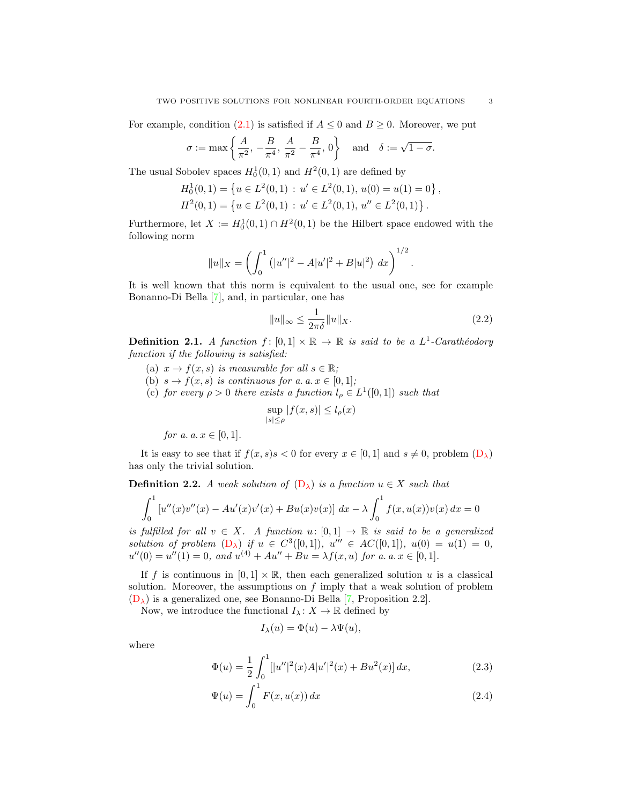For example, condition [\(2.1\)](#page-1-1) is satisfied if  $A \leq 0$  and  $B \geq 0$ . Moreover, we put

$$
\sigma := \max\left\{\frac{A}{\pi^2}, -\frac{B}{\pi^4}, \frac{A}{\pi^2} - \frac{B}{\pi^4}, 0\right\} \text{ and } \delta := \sqrt{1 - \sigma}.
$$

The usual Sobolev spaces  $H_0^1(0,1)$  and  $H^2(0,1)$  are defined by

$$
H_0^1(0,1) = \{ u \in L^2(0,1) : u' \in L^2(0,1), u(0) = u(1) = 0 \},
$$
  

$$
H^2(0,1) = \{ u \in L^2(0,1) : u' \in L^2(0,1), u'' \in L^2(0,1) \}.
$$

Furthermore, let  $X := H_0^1(0,1) \cap H^2(0,1)$  be the Hilbert space endowed with the following norm

$$
||u||_X = \left(\int_0^1 (|u''|^2 - A|u'|^2 + B|u|^2) dx\right)^{1/2}.
$$

It is well known that this norm is equivalent to the usual one, see for example Bonanno-Di Bella [\[7\]](#page-8-2), and, in particular, one has

<span id="page-2-3"></span>
$$
||u||_{\infty} \le \frac{1}{2\pi\delta} ||u||_X. \tag{2.2}
$$

<span id="page-2-0"></span>**Definition 2.1.** A function  $f : [0,1] \times \mathbb{R} \to \mathbb{R}$  is said to be a  $L^1$ -Carathéodory function if the following is satisfied:

- (a)  $x \to f(x, s)$  is measurable for all  $s \in \mathbb{R}$ ;
- (b)  $s \to f(x, s)$  is continuous for a. a.  $x \in [0, 1]$ ;
- (c) for every  $\rho > 0$  there exists a function  $l_{\rho} \in L^1([0,1])$  such that

$$
\sup_{|s| \le \rho} |f(x, s)| \le l_{\rho}(x)
$$

*for a. a.*  $x \in [0, 1]$ .

It is easy to see that if  $f(x, s)s < 0$  for every  $x \in [0, 1]$  and  $s \neq 0$ , problem  $(D_{\lambda})$  $(D_{\lambda})$ has only the trivial solution.

**Definition 2.2.** A weak solution of  $(D_\lambda)$  $(D_\lambda)$  is a function  $u \in X$  such that

$$
\int_0^1 \left[ u''(x)v''(x) - Au'(x)v'(x) + Bu(x)v(x) \right] dx - \lambda \int_0^1 f(x, u(x))v(x) dx = 0
$$

is fulfilled for all  $v \in X$ . A function  $u: [0,1] \to \mathbb{R}$  is said to be a generalized solution of problem  $(D_{\lambda})$  $(D_{\lambda})$  if  $u \in C^{3}([0,1])$ ,  $u''' \in AC([0,1])$ ,  $u(0) = u(1) = 0$ ,  $u''(0) = u''(1) = 0$ , and  $u^{(4)} + Au'' + Bu = \lambda f(x, u)$  for a. a.  $x \in [0, 1]$ .

If f is continuous in  $[0, 1] \times \mathbb{R}$ , then each generalized solution u is a classical solution. Moreover, the assumptions on  $f$  imply that a weak solution of problem  $(D_{\lambda})$  $(D_{\lambda})$  is a generalized one, see Bonanno-Di Bella [\[7,](#page-8-2) Proposition 2.2].

Now, we introduce the functional  $I_{\lambda}: X \to \mathbb{R}$  defined by

<span id="page-2-2"></span><span id="page-2-1"></span>
$$
I_{\lambda}(u) = \Phi(u) - \lambda \Psi(u),
$$

where

$$
\Phi(u) = \frac{1}{2} \int_0^1 [ |u''|^2(x)A|u'|^2(x) + Bu^2(x) ]\,dx,\tag{2.3}
$$

$$
\Psi(u) = \int_0^1 F(x, u(x)) dx
$$
\n(2.4)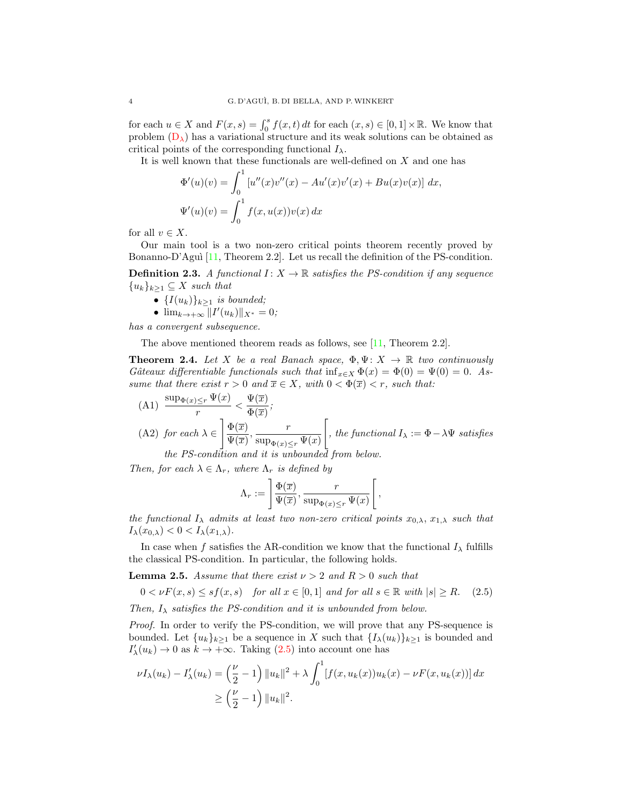for each  $u \in X$  and  $F(x, s) = \int_0^s f(x, t) dt$  for each  $(x, s) \in [0, 1] \times \mathbb{R}$ . We know that problem  $(D_{\lambda})$  $(D_{\lambda})$  has a variational structure and its weak solutions can be obtained as critical points of the corresponding functional  $I_{\lambda}$ .

It is well known that these functionals are well-defined on  $X$  and one has

$$
\Phi'(u)(v) = \int_0^1 [u''(x)v''(x) - Au'(x)v'(x) + Bu(x)v(x)] dx,
$$
  

$$
\Psi'(u)(v) = \int_0^1 f(x, u(x))v(x) dx
$$

for all  $v \in X$ .

Our main tool is a two non-zero critical points theorem recently proved by Bonanno-D'Aguì  $[11,$  Theorem 2.2]. Let us recall the definition of the PS-condition.

**Definition 2.3.** A functional  $I: X \to \mathbb{R}$  satisfies the PS-condition if any sequence  ${u_k}_{k\geq 1} \subseteq X$  such that

- ${I(u_k)}_{k>1}$  is bounded;
- $\lim_{k \to +\infty} ||I'(u_k)||_{X^*} = 0;$

has a convergent subsequence.

The above mentioned theorem reads as follows, see [\[11,](#page-8-9) Theorem 2.2].

<span id="page-3-1"></span>**Theorem 2.4.** Let X be a real Banach space,  $\Phi, \Psi \colon X \to \mathbb{R}$  two continuously Gâteaux differentiable functionals such that  $\inf_{x \in X} \Phi(x) = \Phi(0) = \Psi(0) = 0$ . Assume that there exist  $r > 0$  and  $\overline{x} \in X$ , with  $0 < \Phi(\overline{x}) < r$ , such that:

(A1) 
$$
\frac{\sup_{\Phi(x)\leq r} \Psi(x)}{r} < \frac{\Psi(\overline{x})}{\Phi(\overline{x})};
$$
  
\n(A2) for each  $\lambda \in \left] \frac{\Phi(\overline{x})}{\Psi(\overline{x})}, \frac{r}{\sup_{\Phi(x)\leq r} \Psi(x)} \right[$ , the functional  $I_{\lambda} := \Phi - \lambda \Psi$  satisfies the PS-condition and it is unbounded from below.

Then, for each  $\lambda \in \Lambda_r$ , where  $\Lambda_r$  is defined by

<span id="page-3-0"></span>
$$
\Lambda_r := \left[ \frac{\Phi(\overline{x})}{\Psi(\overline{x})}, \frac{r}{\sup_{\Phi(x) \le r} \Psi(x)} \right],
$$

the functional  $I_{\lambda}$  admits at least two non-zero critical points  $x_{0,\lambda}$ ,  $x_{1,\lambda}$  such that  $I_{\lambda}(x_{0,\lambda}) < 0 < I_{\lambda}(x_{1,\lambda}).$ 

In case when  $f$  satisfies the AR-condition we know that the functional  $I_{\lambda}$  fulfills the classical PS-condition. In particular, the following holds.

<span id="page-3-2"></span>**Lemma 2.5.** Assume that there exist  $\nu > 2$  and  $R > 0$  such that

$$
0 < \nu F(x, s) \le sf(x, s) \quad \text{for all } x \in [0, 1] \text{ and for all } s \in \mathbb{R} \text{ with } |s| \ge R. \tag{2.5}
$$

Then,  $I_{\lambda}$  satisfies the PS-condition and it is unbounded from below.

Proof. In order to verify the PS-condition, we will prove that any PS-sequence is bounded. Let  ${u_k}_{k>1}$  be a sequence in X such that  ${I_{\lambda}(u_k)}_{k>1}$  is bounded and  $I'_{\lambda}(u_k) \to 0$  as  $k \to +\infty$ . Taking [\(2.5\)](#page-3-0) into account one has

$$
\nu I_{\lambda}(u_{k}) - I'_{\lambda}(u_{k}) = \left(\frac{\nu}{2} - 1\right) \|u_{k}\|^{2} + \lambda \int_{0}^{1} [f(x, u_{k}(x))u_{k}(x) - \nu F(x, u_{k}(x))] dx
$$
  

$$
\geq \left(\frac{\nu}{2} - 1\right) \|u_{k}\|^{2}.
$$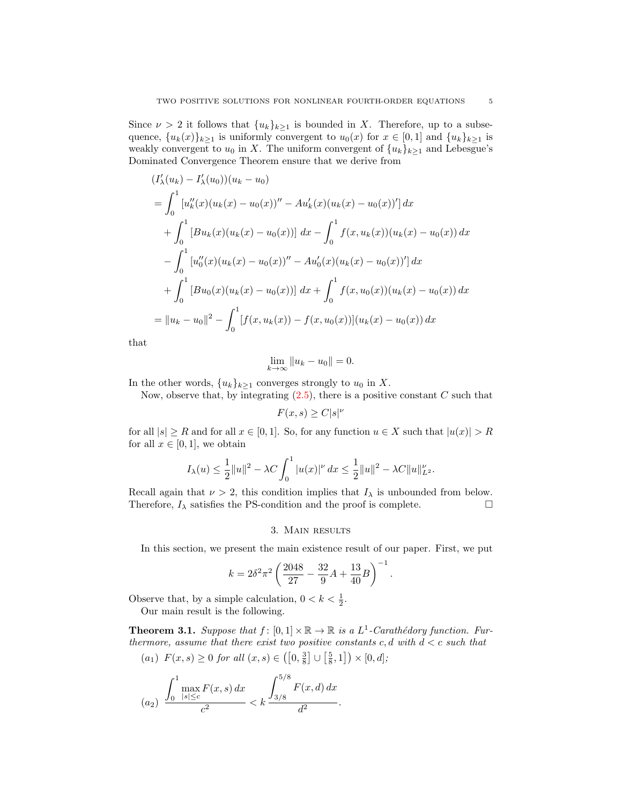Since  $\nu > 2$  it follows that  $\{u_k\}_{k>1}$  is bounded in X. Therefore, up to a subsequence,  ${u_k(x)}_{k\geq 1}$  is uniformly convergent to  $u_0(x)$  for  $x \in [0,1]$  and  ${u_k}_{k\geq 1}$  is weakly convergent to  $u_0$  in X. The uniform convergent of  $\{u_k\}_{k\geq 1}$  and Lebesgue's Dominated Convergence Theorem ensure that we derive from

$$
(I'_{\lambda}(u_k) - I'_{\lambda}(u_0))(u_k - u_0)
$$
  
=  $\int_0^1 [u''_k(x)(u_k(x) - u_0(x))'' - Au'_k(x)(u_k(x) - u_0(x))'] dx$   
+  $\int_0^1 [Bu_k(x)(u_k(x) - u_0(x))] dx - \int_0^1 f(x, u_k(x))(u_k(x) - u_0(x)) dx$   
-  $\int_0^1 [u''_0(x)(u_k(x) - u_0(x))'' - Au'_0(x)(u_k(x) - u_0(x))'] dx$   
+  $\int_0^1 [Bu_0(x)(u_k(x) - u_0(x))] dx + \int_0^1 f(x, u_0(x))(u_k(x) - u_0(x)) dx$   
=  $||u_k - u_0||^2 - \int_0^1 [f(x, u_k(x)) - f(x, u_0(x))](u_k(x) - u_0(x)) dx$ 

that

$$
\lim_{k \to \infty} \|u_k - u_0\| = 0.
$$

In the other words,  ${u_k}_{k\geq 1}$  converges strongly to  $u_0$  in X.

Now, observe that, by integrating  $(2.5)$ , there is a positive constant C such that

 $F(x, s) \geq C|s|^{\nu}$ 

for all  $|s| \ge R$  and for all  $x \in [0, 1]$ . So, for any function  $u \in X$  such that  $|u(x)| > R$ for all  $x \in [0, 1]$ , we obtain

$$
I_{\lambda}(u) \leq \frac{1}{2}||u||^2 - \lambda C \int_0^1 |u(x)|^{\nu} dx \leq \frac{1}{2}||u||^2 - \lambda C ||u||_{L^2}^{\nu}.
$$

Recall again that  $\nu > 2$ , this condition implies that  $I_\lambda$  is unbounded from below. Therefore,  $I_{\lambda}$  satisfies the PS-condition and the proof is complete.

# 3. Main results

<span id="page-4-1"></span>In this section, we present the main existence result of our paper. First, we put

$$
k = 2\delta^2 \pi^2 \left(\frac{2048}{27} - \frac{32}{9}A + \frac{13}{40}B\right)^{-1}.
$$

Observe that, by a simple calculation,  $0 < k < \frac{1}{2}$ .

Our main result is the following.

<span id="page-4-0"></span>**Theorem 3.1.** Suppose that  $f : [0,1] \times \mathbb{R} \to \mathbb{R}$  is a  $L^1$ -Carathédory function. Furthermore, assume that there exist two positive constants  $c, d$  with  $d < c$  such that

$$
(a_1) \ F(x,s) \ge 0 \ for \ all \ (x,s) \in \left( \left[ 0, \frac{3}{8} \right] \cup \left[ \frac{5}{8}, 1 \right] \right) \times [0, d];
$$

$$
(a_2) \frac{\int_0^1 \max\limits_{|s| \le c} F(x, s) \, dx}{c^2} < k \frac{\int_{3/8}^{5/8} F(x, d) \, dx}{d^2}.
$$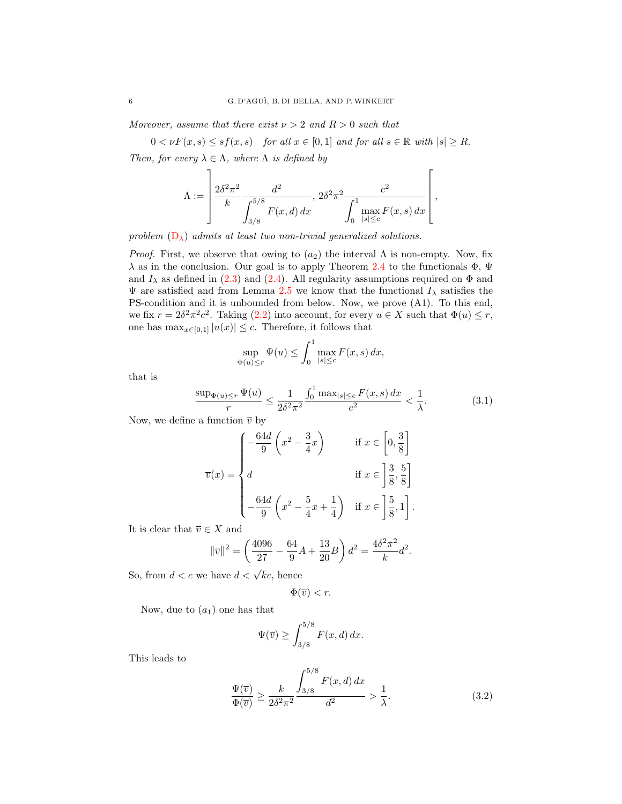Moreover, assume that there exist  $\nu > 2$  and  $R > 0$  such that

 $0 < \nu F(x, s) \leq sf(x, s)$  for all  $x \in [0, 1]$  and for all  $s \in \mathbb{R}$  with  $|s| \geq R$ . Then, for every  $\lambda \in \Lambda$ , where  $\Lambda$  is defined by

$$
\Lambda := \left[ \frac{2\delta^2 \pi^2}{k} \frac{d^2}{\int_{3/8}^{5/8} F(x, d) dx}, 2\delta^2 \pi^2 \frac{c^2}{\int_0^1 \max_{|s| \le c} F(x, s) dx} \right],
$$

problem  $(D_{\lambda})$  $(D_{\lambda})$  admits at least two non-trivial generalized solutions.

*Proof.* First, we observe that owing to  $(a_2)$  the interval  $\Lambda$  is non-empty. Now, fix  $\lambda$  as in the conclusion. Our goal is to apply Theorem [2.4](#page-3-1) to the functionals  $\Phi$ ,  $\Psi$ and  $I_{\lambda}$  as defined in [\(2.3\)](#page-2-1) and [\(2.4\)](#page-2-2). All regularity assumptions required on  $\Phi$  and  $\Psi$  are satisfied and from Lemma [2.5](#page-3-2) we know that the functional  $I_\lambda$  satisfies the PS-condition and it is unbounded from below. Now, we prove (A1). To this end, we fix  $r = 2\delta^2 \pi^2 c^2$ . Taking [\(2.2\)](#page-2-3) into account, for every  $u \in X$  such that  $\Phi(u) \leq r$ , one has  $\max_{x \in [0,1]} |u(x)| \leq c$ . Therefore, it follows that

<span id="page-5-0"></span>
$$
\sup_{\Phi(u)\leq r} \Psi(u) \leq \int_0^1 \max_{|s|\leq c} F(x, s) \, dx,
$$

that is

$$
\frac{\sup_{\Phi(u)\leq r} \Psi(u)}{r} \leq \frac{1}{2\delta^2 \pi^2} \frac{\int_0^1 \max_{|s|\leq c} F(x,s) \, dx}{c^2} < \frac{1}{\lambda}.\tag{3.1}
$$

Now, we define a function  $\overline{v}$  by

$$
\overline{v}(x) = \begin{cases}\n-\frac{64d}{9}\left(x^2 - \frac{3}{4}x\right) & \text{if } x \in \left[0, \frac{3}{8}\right] \\
d & \text{if } x \in \left[\frac{3}{8}, \frac{5}{8}\right] \\
-\frac{64d}{9}\left(x^2 - \frac{5}{4}x + \frac{1}{4}\right) & \text{if } x \in \left[\frac{5}{8}, 1\right].\n\end{cases}
$$

It is clear that  $\overline{v} \in X$  and

$$
\|\overline{v}\|^2 = \left(\frac{4096}{27} - \frac{64}{9}A + \frac{13}{20}B\right)d^2 = \frac{4\delta^2\pi^2}{k}d^2.
$$

So, from  $d < c$  we have  $d < \sqrt{k}c$ , hence

<span id="page-5-1"></span>
$$
\Phi(\overline{v}) < r.
$$

Now, due to  $(a_1)$  one has that

$$
\Psi(\overline{v}) \ge \int_{3/8}^{5/8} F(x, d) dx.
$$

This leads to

$$
\frac{\Psi(\overline{v})}{\Phi(\overline{v})} \ge \frac{k}{2\delta^2 \pi^2} \frac{\int_{3/8}^{5/8} F(x, d) dx}{d^2} > \frac{1}{\lambda}.
$$
\n(3.2)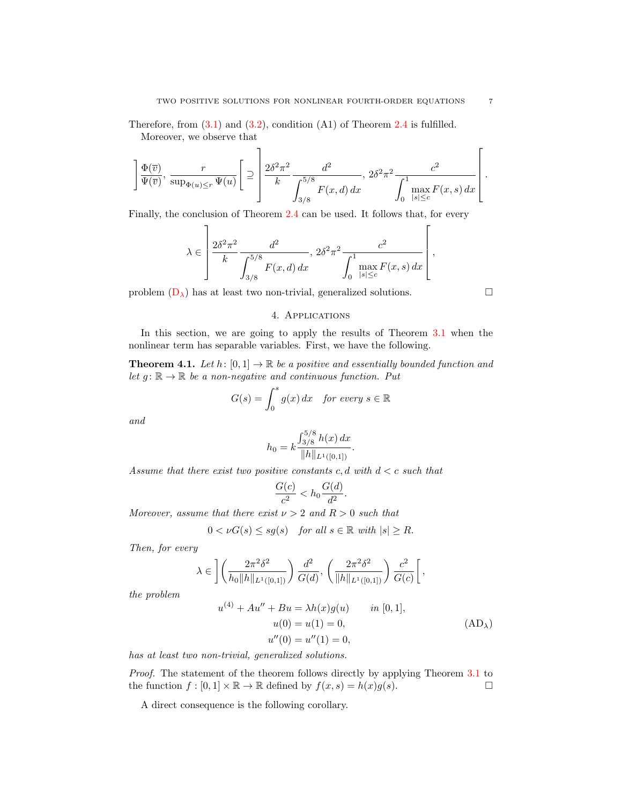Therefore, from  $(3.1)$  and  $(3.2)$ , condition  $(A1)$  of Theorem [2.4](#page-3-1) is fulfilled.

 $\overline{1}$ 

Moreover, we observe that

 $\mathbf{I}$ 

$$
\left] \frac{\Phi(\overline{v})}{\Psi(\overline{v})}, \frac{r}{\sup_{\Phi(u)\leq r} \Psi(u)} \right[ \supseteq \left] \frac{2\delta^2 \pi^2}{k} \frac{d^2}{\int_{3/8}^{5/8} F(x, d) dx}, 2\delta^2 \pi^2 \frac{c^2}{\int_0^1 \max_{|s| \leq c} F(x, s) dx} \right]
$$

Finally, the conclusion of Theorem [2.4](#page-3-1) can be used. It follows that, for every

$$
\lambda \in \left] \frac{2\delta^2 \pi^2}{k} \frac{d^2}{\int_{3/8}^{5/8} F(x, d) dx}, 2\delta^2 \pi^2 \frac{c^2}{\int_0^1 \max_{|s| \le c} F(x, s) dx} \right],
$$

<span id="page-6-0"></span>problem  $(D_{\lambda})$  $(D_{\lambda})$  has at least two non-trivial, generalized solutions.

#### 4. Applications

In this section, we are going to apply the results of Theorem [3.1](#page-4-0) when the nonlinear term has separable variables. First, we have the following.

<span id="page-6-1"></span>**Theorem 4.1.** Let  $h: [0, 1] \to \mathbb{R}$  be a positive and essentially bounded function and let  $g: \mathbb{R} \to \mathbb{R}$  be a non-negative and continuous function. Put

$$
G(s) = \int_0^s g(x) \, dx \quad \text{for every } s \in \mathbb{R}
$$

and

$$
h_0 = k \frac{\int_{3/8}^{5/8} h(x) dx}{\|h\|_{L^1([0,1])}}.
$$

Assume that there exist two positive constants c, d with  $d < c$  such that

<span id="page-6-2"></span>
$$
\frac{G(c)}{c^2} < h_0 \frac{G(d)}{d^2}.
$$

Moreover, assume that there exist  $\nu > 2$  and  $R > 0$  such that

$$
0 < \nu G(s) \leq sg(s) \quad \text{for all } s \in \mathbb{R} \text{ with } |s| \geq R.
$$

Then, for every

$$
\lambda \in \left[ \left( \frac{2\pi^2 \delta^2}{h_0 \| h \|_{L^1([0,1])}} \right) \frac{d^2}{G(d)}, \left( \frac{2\pi^2 \delta^2}{\| h \|_{L^1([0,1])}} \right) \frac{c^2}{G(c)} \right[,
$$

the problem

<span id="page-6-3"></span>
$$
u^{(4)} + Au'' + Bu = \lambda h(x)g(u) \qquad in [0, 1],
$$
  
\n
$$
u(0) = u(1) = 0,
$$
  
\n
$$
u''(0) = u''(1) = 0,
$$
\n(AD<sub>\lambda</sub>)

has at least two non-trivial, generalized solutions.

Proof. The statement of the theorem follows directly by applying Theorem [3.1](#page-4-0) to the function  $f : [0,1] \times \mathbb{R} \to \mathbb{R}$  defined by  $f(x, s) = h(x)g(s)$ .

A direct consequence is the following corollary.

 $\mathbf{r}$ 

.

F.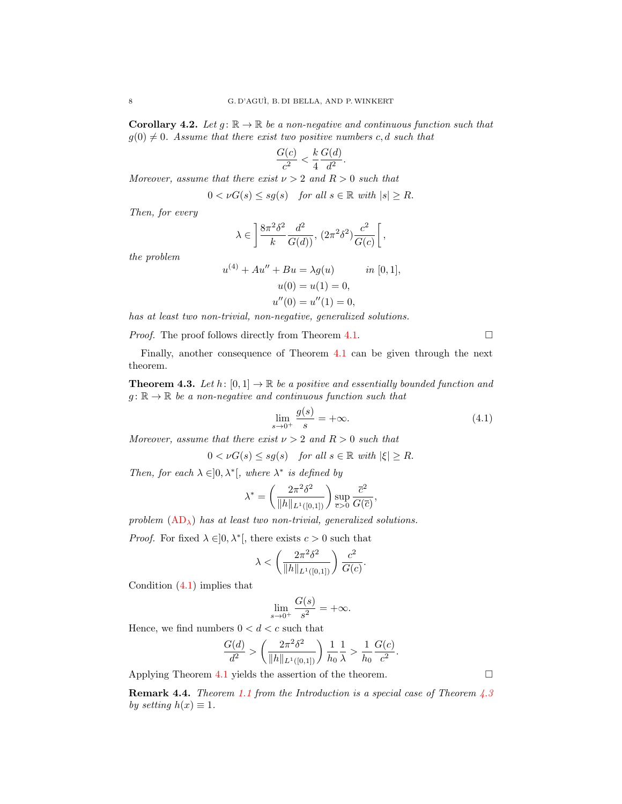**Corollary 4.2.** Let  $g: \mathbb{R} \to \mathbb{R}$  be a non-negative and continuous function such that  $g(0) \neq 0$ . Assume that there exist two positive numbers c, d such that

$$
\frac{G(c)}{c^2} < \frac{k}{4} \frac{G(d)}{d^2}.
$$

Moreover, assume that there exist  $\nu > 2$  and  $R > 0$  such that

$$
0 < \nu G(s) \leq sg(s) \quad \text{for all } s \in \mathbb{R} \text{ with } |s| \geq R.
$$

Then, for every

$$
\lambda \in \left] \frac{8\pi^2\delta^2}{k} \frac{d^2}{G(d))},\, (2\pi^2\delta^2) \frac{c^2}{G(c)} \right[,
$$

the problem

$$
u^{(4)} + Au'' + Bu = \lambda g(u) \qquad in [0, 1],
$$
  

$$
u(0) = u(1) = 0,
$$
  

$$
u''(0) = u''(1) = 0,
$$

has at least two non-trivial, non-negative, generalized solutions.

*Proof.* The proof follows directly from Theorem [4.1.](#page-6-1)  $\Box$ 

Finally, another consequence of Theorem [4.1](#page-6-1) can be given through the next theorem.

<span id="page-7-0"></span>**Theorem 4.3.** Let  $h: [0,1] \to \mathbb{R}$  be a positive and essentially bounded function and  $g: \mathbb{R} \to \mathbb{R}$  be a non-negative and continuous function such that

$$
\lim_{s \to 0^+} \frac{g(s)}{s} = +\infty.
$$
\n(4.1)

Moreover, assume that there exist  $\nu > 2$  and  $R > 0$  such that

$$
0 < \nu G(s) \leq sg(s) \quad \text{for all } s \in \mathbb{R} \text{ with } |\xi| \geq R.
$$

Then, for each  $\lambda \in ]0, \lambda^*[$ , where  $\lambda^*$  is defined by

$$
\lambda^* = \left(\frac{2\pi^2\delta^2}{\|h\|_{L^1([0,1])}}\right) \sup_{\overline{c} > 0} \frac{\overline{c}^2}{G(\overline{c})},
$$

problem  $(AD<sub>\lambda</sub>)$  $(AD<sub>\lambda</sub>)$  has at least two non-trivial, generalized solutions.

*Proof.* For fixed  $\lambda \in ]0, \lambda^*[$ , there exists  $c > 0$  such that

$$
\lambda < \left(\frac{2\pi^2 \delta^2}{\|h\|_{L^1([0,1])}}\right) \frac{c^2}{G(c)}.
$$

Condition [\(4.1\)](#page-6-3) implies that

$$
\lim_{s \to 0^+} \frac{G(s)}{s^2} = +\infty.
$$

Hence, we find numbers  $0 < d < c$  such that

$$
\frac{G(d)}{d^2} > \left(\frac{2\pi^2\delta^2}{\|h\|_{L^1([0,1])}}\right)\frac{1}{h_0}\frac{1}{\lambda} > \frac{1}{h_0}\frac{G(c)}{c^2}.
$$

Applying Theorem [4.1](#page-6-1) yields the assertion of the theorem.  $\Box$ 

Remark 4.4. Theorem [1.1](#page-0-1) from the Introduction is a special case of Theorem [4.3](#page-7-0) by setting  $h(x) \equiv 1$ .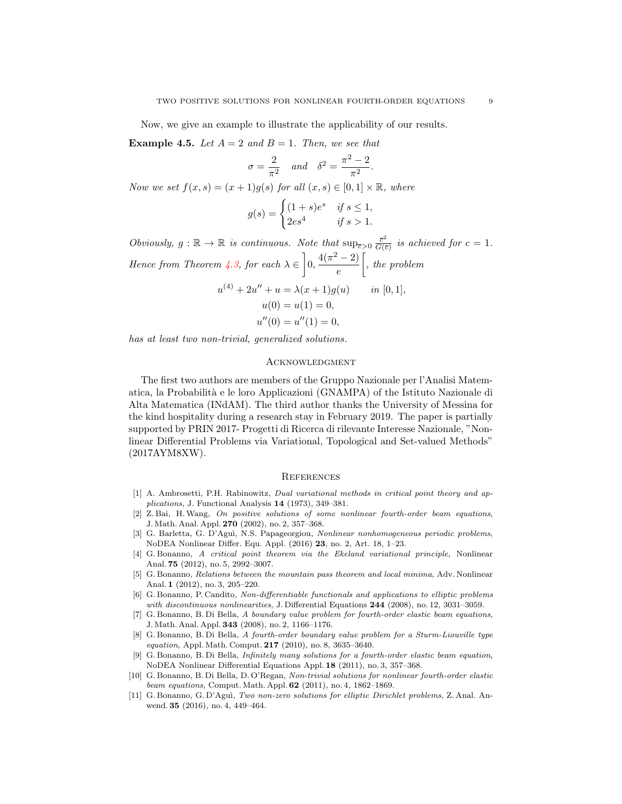Now, we give an example to illustrate the applicability of our results.

**Example 4.5.** Let  $A = 2$  and  $B = 1$ . Then, we see that

$$
\sigma = \frac{2}{\pi^2} \quad and \quad \delta^2 = \frac{\pi^2 - 2}{\pi^2}.
$$

Now we set  $f(x, s) = (x + 1)g(s)$  for all  $(x, s) \in [0, 1] \times \mathbb{R}$ , where

$$
g(s) = \begin{cases} (1+s)e^s & \text{if } s \le 1, \\ 2es^4 & \text{if } s > 1. \end{cases}
$$

Obviously,  $g : \mathbb{R} \to \mathbb{R}$  is continuous. Note that  $\sup_{\overline{c} > 0} \frac{\overline{c}^2}{G(c)}$  $\frac{\overline{c}^2}{G(\overline{c})}$  is achieved for  $c=1$ . Hence from Theorem [4.3,](#page-7-0) for each  $\lambda \in \left]0, \frac{4(\pi^2-2)}{\pi} \right]$ e  $\int$ , the problem  $u^{(4)} + 2u'' + u = \lambda(x+1)g(u)$  in [0, 1],  $u(0) = u(1) = 0.$  $u''(0) = u''(1) = 0,$ 

has at least two non-trivial, generalized solutions.

## **ACKNOWLEDGMENT**

The first two authors are members of the Gruppo Nazionale per l'Analisi Matematica, la Probabilit`a e le loro Applicazioni (GNAMPA) of the Istituto Nazionale di Alta Matematica (INdAM). The third author thanks the University of Messina for the kind hospitality during a research stay in February 2019. The paper is partially supported by PRIN 2017- Progetti di Ricerca di rilevante Interesse Nazionale, "Nonlinear Differential Problems via Variational, Topological and Set-valued Methods" (2017AYM8XW).

#### **REFERENCES**

- <span id="page-8-10"></span>[1] A. Ambrosetti, P.H. Rabinowitz, Dual variational methods in critical point theory and applications, J. Functional Analysis 14 (1973), 349–381.
- <span id="page-8-1"></span>[2] Z. Bai, H.Wang, On positive solutions of some nonlinear fourth-order beam equations, J. Math. Anal. Appl. 270 (2002), no. 2, 357–368.
- <span id="page-8-0"></span>[3] G. Barletta, G. D'Agu`ı, N.S. Papageorgiou, Nonlinear nonhomogeneous periodic problems, NoDEA Nonlinear Differ. Equ. Appl. (2016) 23, no. 2, Art. 18, 1–23.
- <span id="page-8-7"></span>[4] G. Bonanno, A critical point theorem via the Ekeland variational principle, Nonlinear Anal. 75 (2012), no. 5, 2992–3007.
- <span id="page-8-8"></span>[5] G. Bonanno, Relations between the mountain pass theorem and local minima, Adv. Nonlinear Anal. 1 (2012), no. 3, 205–220.
- <span id="page-8-6"></span>[6] G. Bonanno, P. Candito, Non-differentiable functionals and applications to elliptic problems with discontinuous nonlinearities, J. Differential Equations  $244$  (2008), no. 12, 3031–3059.
- <span id="page-8-2"></span>[7] G. Bonanno, B. Di Bella, A boundary value problem for fourth-order elastic beam equations, J. Math. Anal. Appl. 343 (2008), no. 2, 1166–1176.
- <span id="page-8-3"></span>[8] G. Bonanno, B. Di Bella, A fourth-order boundary value problem for a Sturm-Liouville type equation, Appl. Math. Comput. 217 (2010), no. 8, 3635–3640.
- <span id="page-8-4"></span>[9] G. Bonanno, B. Di Bella, Infinitely many solutions for a fourth-order elastic beam equation, NoDEA Nonlinear Differential Equations Appl. 18 (2011), no. 3, 357–368.
- <span id="page-8-5"></span>[10] G. Bonanno, B. Di Bella, D. O'Regan, Non-trivial solutions for nonlinear fourth-order elastic beam equations, Comput. Math. Appl. 62 (2011), no. 4, 1862–1869.
- <span id="page-8-9"></span>[11] G. Bonanno, G. D'Aguì, Two non-zero solutions for elliptic Dirichlet problems, Z. Anal. Anwend. 35 (2016), no. 4, 449–464.